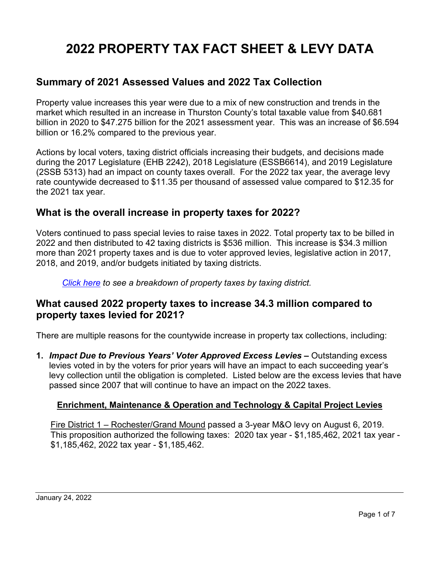# **2022 PROPERTY TAX FACT SHEET & LEVY DATA**

## **Summary of 2021 Assessed Values and 2022 Tax Collection**

Property value increases this year were due to a mix of new construction and trends in the market which resulted in an increase in Thurston County's total taxable value from \$40.681 billion in 2020 to \$47.275 billion for the 2021 assessment year. This was an increase of \$6.594 billion or 16.2% compared to the previous year.

Actions by local voters, taxing district officials increasing their budgets, and decisions made during the 2017 Legislature (EHB 2242), 2018 Legislature (ESSB6614), and 2019 Legislature (2SSB 5313) had an impact on county taxes overall. For the 2022 tax year, the average levy rate countywide decreased to \$11.35 per thousand of assessed value compared to \$12.35 for the 2021 tax year.

### **What is the overall increase in property taxes for 2022?**

Voters continued to pass special levies to raise taxes in 2022. Total property tax to be billed in 2022 and then distributed to 42 taxing districts is \$536 million. This increase is \$34.3 million more than 2021 property taxes and is due to voter approved levies, legislative action in 2017, 2018, and 2019, and/or budgets initiated by taxing districts.

#### *[Click here](http://www.co.thurston.wa.us/assessor/factsheets/Summary_of_Levies_and_Increases_2019_thru_2022.pdf) to see a breakdown of property taxes by taxing district.*

### **What caused 2022 property taxes to increase 34.3 million compared to property taxes levied for 2021?**

There are multiple reasons for the countywide increase in property tax collections, including:

**1.** *Impact Due to Previous Years' Voter Approved Excess Levies* **–** Outstanding excess levies voted in by the voters for prior years will have an impact to each succeeding year's levy collection until the obligation is completed. Listed below are the excess levies that have passed since 2007 that will continue to have an impact on the 2022 taxes.

#### **Enrichment, Maintenance & Operation and Technology & Capital Project Levies**

Fire District 1 – Rochester/Grand Mound passed a 3-year M&O levy on August 6, 2019. This proposition authorized the following taxes: 2020 tax year - \$1,185,462, 2021 tax year - \$1,185,462, 2022 tax year - \$1,185,462.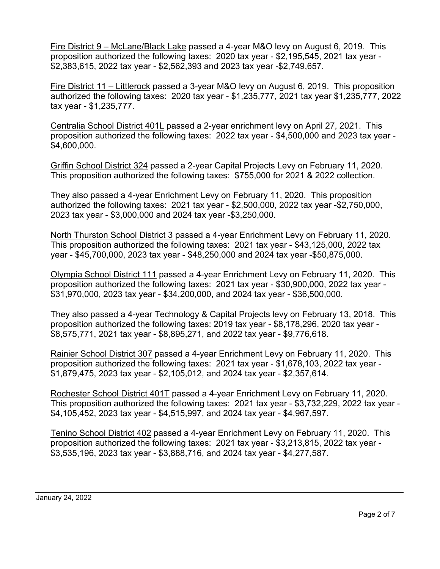Fire District 9 – McLane/Black Lake passed a 4-year M&O levy on August 6, 2019. This proposition authorized the following taxes: 2020 tax year - \$2,195,545, 2021 tax year - \$2,383,615, 2022 tax year - \$2,562,393 and 2023 tax year -\$2,749,657.

Fire District 11 – Littlerock passed a 3-year M&O levy on August 6, 2019. This proposition authorized the following taxes: 2020 tax year - \$1,235,777, 2021 tax year \$1,235,777, 2022 tax year - \$1,235,777.

Centralia School District 401L passed a 2-year enrichment levy on April 27, 2021. This proposition authorized the following taxes: 2022 tax year - \$4,500,000 and 2023 tax year - \$4,600,000.

Griffin School District 324 passed a 2-year Capital Projects Levy on February 11, 2020. This proposition authorized the following taxes: \$755,000 for 2021 & 2022 collection.

They also passed a 4-year Enrichment Levy on February 11, 2020. This proposition authorized the following taxes: 2021 tax year - \$2,500,000, 2022 tax year -\$2,750,000, 2023 tax year - \$3,000,000 and 2024 tax year -\$3,250,000.

North Thurston School District 3 passed a 4-year Enrichment Levy on February 11, 2020. This proposition authorized the following taxes: 2021 tax year - \$43,125,000, 2022 tax year - \$45,700,000, 2023 tax year - \$48,250,000 and 2024 tax year -\$50,875,000.

Olympia School District 111 passed a 4-year Enrichment Levy on February 11, 2020. This proposition authorized the following taxes: 2021 tax year - \$30,900,000, 2022 tax year - \$31,970,000, 2023 tax year - \$34,200,000, and 2024 tax year - \$36,500,000.

They also passed a 4-year Technology & Capital Projects levy on February 13, 2018. This proposition authorized the following taxes: 2019 tax year - \$8,178,296, 2020 tax year - \$8,575,771, 2021 tax year - \$8,895,271, and 2022 tax year - \$9,776,618.

Rainier School District 307 passed a 4-year Enrichment Levy on February 11, 2020. This proposition authorized the following taxes: 2021 tax year - \$1,678,103, 2022 tax year - \$1,879,475, 2023 tax year - \$2,105,012, and 2024 tax year - \$2,357,614.

Rochester School District 401T passed a 4-year Enrichment Levy on February 11, 2020. This proposition authorized the following taxes: 2021 tax year - \$3,732,229, 2022 tax year - \$4,105,452, 2023 tax year - \$4,515,997, and 2024 tax year - \$4,967,597.

Tenino School District 402 passed a 4-year Enrichment Levy on February 11, 2020. This proposition authorized the following taxes: 2021 tax year - \$3,213,815, 2022 tax year - \$3,535,196, 2023 tax year - \$3,888,716, and 2024 tax year - \$4,277,587.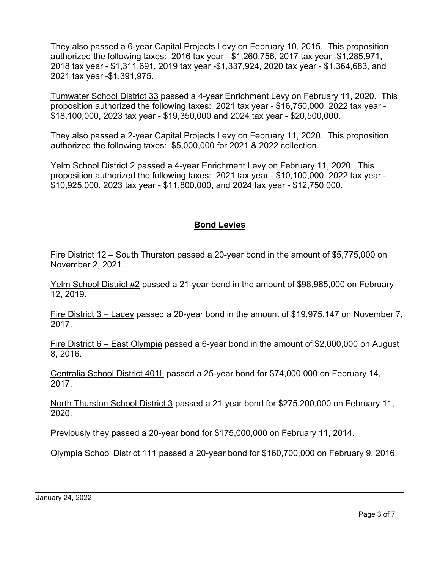They also passed a 6-year Capital Projects Levy on February 10, 2015. This proposition authorized the following taxes: 2016 tax year - \$1,260,756, 2017 tax year -\$1,285,971, 2018 tax year - \$1,311,691, 2019 tax year -\$1,337,924, 2020 tax year - \$1,364,683, and 2021 tax year -\$1,391,975.

Tumwater School District 33 passed a 4-year Enrichment Levy on February 11, 2020. This proposition authorized the following taxes: 2021 tax year - \$16,750,000, 2022 tax year - \$18,100,000, 2023 tax year - \$19,350,000 and 2024 tax year - \$20,500,000.

They also passed a 2-year Capital Projects Levy on February 11, 2020. This proposition authorized the following taxes: \$5,000,000 for 2021 & 2022 collection.

Yelm School District 2 passed a 4-year Enrichment Levy on February 11, 2020. This proposition authorized the following taxes: 2021 tax year - \$10,100,000, 2022 tax year - \$10,925,000, 2023 tax year - \$11,800,000, and 2024 tax year - \$12,750,000.

### **Bond Levies**

Fire District 12 – South Thurston passed a 20-year bond in the amount of \$5,775,000 on November 2, 2021.

Yelm School District #2 passed a 21-year bond in the amount of \$98,985,000 on February 12, 2019.

Fire District 3 – Lacey passed a 20-year bond in the amount of \$19,975,147 on November 7, 2017.

Fire District 6 – East Olympia passed a 6-year bond in the amount of \$2,000,000 on August 8, 2016.

Centralia School District 401L passed a 25-year bond for \$74,000,000 on February 14, 2017.

North Thurston School District 3 passed a 21-year bond for \$275,200,000 on February 11, 2020.

Previously they passed a 20-year bond for \$175,000,000 on February 11, 2014.

Olympia School District 111 passed a 20-year bond for \$160,700,000 on February 9, 2016.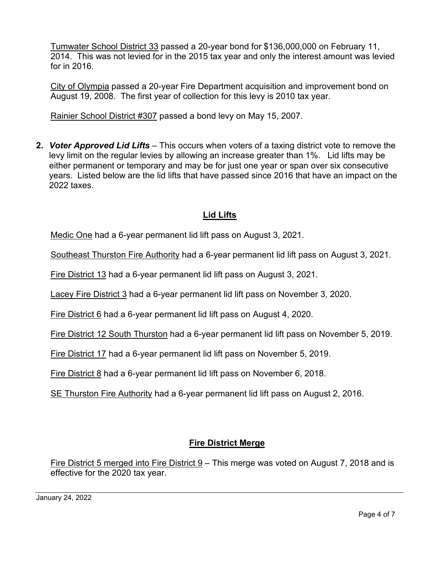Tumwater School District 33 passed a 20-year bond for \$136,000,000 on February 11, 2014. This was not levied for in the 2015 tax year and only the interest amount was levied for in 2016.

City of Olympia passed a 20-year Fire Department acquisition and improvement bond on August 19, 2008. The first year of collection for this levy is 2010 tax year.

Rainier School District #307 passed a bond levy on May 15, 2007.

**2.** *Voter Approved Lid Lifts –* This occurs when voters of a taxing district vote to remove the levy limit on the regular levies by allowing an increase greater than 1%. Lid lifts may be either permanent or temporary and may be for just one year or span over six consecutive years. Listed below are the lid lifts that have passed since 2016 that have an impact on the 2022 taxes.

### **Lid Lifts**

Medic One had a 6-year permanent lid lift pass on August 3, 2021.

Southeast Thurston Fire Authority had a 6-year permanent lid lift pass on August 3, 2021.

Fire District 13 had a 6-year permanent lid lift pass on August 3, 2021.

Lacey Fire District 3 had a 6-year permanent lid lift pass on November 3, 2020.

Fire District 6 had a 6-year permanent lid lift pass on August 4, 2020.

Fire District 12 South Thurston had a 6-year permanent lid lift pass on November 5, 2019.

Fire District 17 had a 6-year permanent lid lift pass on November 5, 2019.

Fire District 8 had a 6-year permanent lid lift pass on November 6, 2018.

SE Thurston Fire Authority had a 6-year permanent lid lift pass on August 2, 2016.

# **Fire District Merge**

Fire District 5 merged into Fire District 9 – This merge was voted on August 7, 2018 and is effective for the 2020 tax year.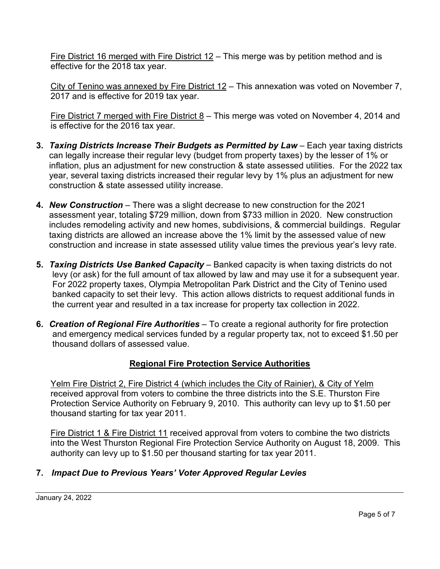Fire District 16 merged with Fire District 12 – This merge was by petition method and is effective for the 2018 tax year.

City of Tenino was annexed by Fire District 12 – This annexation was voted on November 7, 2017 and is effective for 2019 tax year.

Fire District 7 merged with Fire District  $8$  – This merge was voted on November 4, 2014 and is effective for the 2016 tax year.

- **3.** *Taxing Districts Increase Their Budgets as Permitted by Law Each year taxing districts* can legally increase their regular levy (budget from property taxes) by the lesser of 1% or inflation, plus an adjustment for new construction & state assessed utilities. For the 2022 tax year, several taxing districts increased their regular levy by 1% plus an adjustment for new construction & state assessed utility increase.
- **4.** *New Construction* There was a slight decrease to new construction for the 2021 assessment year, totaling \$729 million, down from \$733 million in 2020. New construction includes remodeling activity and new homes, subdivisions, & commercial buildings. Regular taxing districts are allowed an increase above the 1% limit by the assessed value of new construction and increase in state assessed utility value times the previous year's levy rate.
- **5.** *Taxing Districts Use Banked Capacity* Banked capacity is when taxing districts do not levy (or ask) for the full amount of tax allowed by law and may use it for a subsequent year. For 2022 property taxes, Olympia Metropolitan Park District and the City of Tenino used banked capacity to set their levy. This action allows districts to request additional funds in the current year and resulted in a tax increase for property tax collection in 2022.
- **6.** *Creation of Regional Fire Authorities* To create a regional authority for fire protection and emergency medical services funded by a regular property tax, not to exceed \$1.50 per thousand dollars of assessed value.

### **Regional Fire Protection Service Authorities**

Yelm Fire District 2, Fire District 4 (which includes the City of Rainier), & City of Yelm received approval from voters to combine the three districts into the S.E. Thurston Fire Protection Service Authority on February 9, 2010. This authority can levy up to \$1.50 per thousand starting for tax year 2011.

Fire District 1 & Fire District 11 received approval from voters to combine the two districts into the West Thurston Regional Fire Protection Service Authority on August 18, 2009. This authority can levy up to \$1.50 per thousand starting for tax year 2011.

### **7.** *Impact Due to Previous Years' Voter Approved Regular Levies*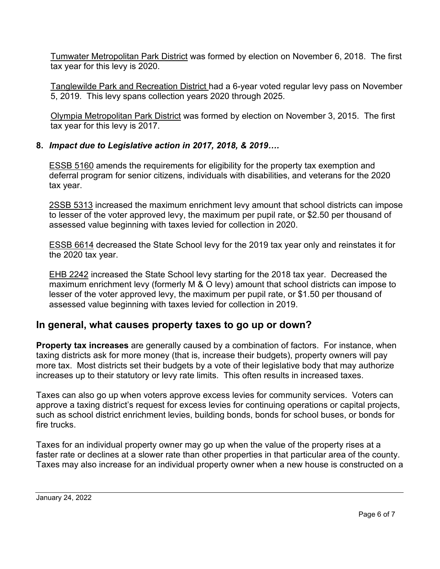Tumwater Metropolitan Park District was formed by election on November 6, 2018. The first tax year for this levy is 2020.

Tanglewilde Park and Recreation District had a 6-year voted regular levy pass on November 5, 2019. This levy spans collection years 2020 through 2025.

Olympia Metropolitan Park District was formed by election on November 3, 2015. The first tax year for this levy is 2017.

#### **8.** *Impact due to Legislative action in 2017, 2018, & 2019….*

**ESSB 5160** amends the requirements for eligibility for the property tax exemption and deferral program for senior citizens, individuals with disabilities, and veterans for the 2020 tax year.

2SSB 5313 increased the maximum enrichment levy amount that school districts can impose to lesser of the voter approved levy, the maximum per pupil rate, or \$2.50 per thousand of assessed value beginning with taxes levied for collection in 2020.

ESSB 6614 decreased the State School levy for the 2019 tax year only and reinstates it for the 2020 tax year.

EHB 2242 increased the State School levy starting for the 2018 tax year. Decreased the maximum enrichment levy (formerly M & O levy) amount that school districts can impose to lesser of the voter approved levy, the maximum per pupil rate, or \$1.50 per thousand of assessed value beginning with taxes levied for collection in 2019.

# **In general, what causes property taxes to go up or down?**

**Property tax increases** are generally caused by a combination of factors. For instance, when taxing districts ask for more money (that is, increase their budgets), property owners will pay more tax. Most districts set their budgets by a vote of their legislative body that may authorize increases up to their statutory or levy rate limits. This often results in increased taxes.

Taxes can also go up when voters approve excess levies for community services. Voters can approve a taxing district's request for excess levies for continuing operations or capital projects, such as school district enrichment levies, building bonds, bonds for school buses, or bonds for fire trucks.

Taxes for an individual property owner may go up when the value of the property rises at a faster rate or declines at a slower rate than other properties in that particular area of the county. Taxes may also increase for an individual property owner when a new house is constructed on a